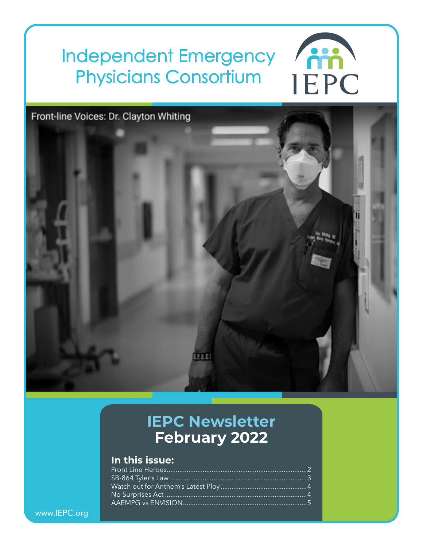### Independent Emergency Physicians Consortium



Front-line Voices: Dr. Clayton Whiting



### **IEPC Newsletter February 2022**

### **In this issue:**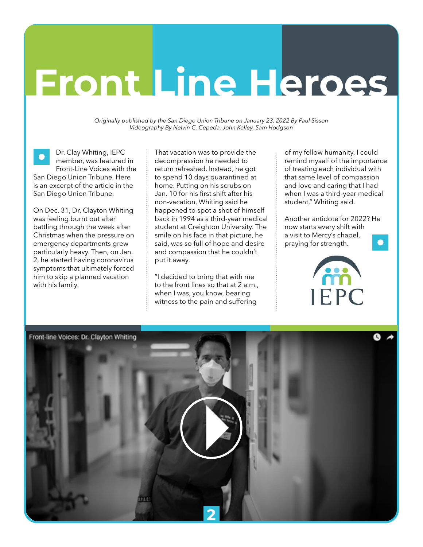# <span id="page-1-0"></span>**Front Line Heroes**

*Originally published by the San Diego Union Tribune on January 23, 2022 By Paul Sisson Videography By Nelvin C. Cepeda, John Kelley, Sam Hodgson*

Dr. Clay Whiting, IEPC member, was featured in Front-Line Voices with the San Diego Union Tribune. Here is an excerpt of the article in the San Diego Union Tribune.

On Dec. 31, Dr, Clayton Whiting was feeling burnt out after battling through the week after Christmas when the pressure on emergency departments grew particularly heavy. Then, on Jan. 2, he started having coronavirus symptoms that ultimately forced him to skip a planned vacation with his family.

That vacation was to provide the decompression he needed to return refreshed. Instead, he got to spend 10 days quarantined at home. Putting on his scrubs on Jan. 10 for his first shift after his non-vacation, Whiting said he happened to spot a shot of himself back in 1994 as a third-year medical student at Creighton University. The smile on his face in that picture, he said, was so full of hope and desire and compassion that he couldn't put it away.

"I decided to bring that with me to the front lines so that at 2 a.m., when I was, you know, bearing witness to the pain and suffering

of my fellow humanity, I could remind myself of the importance of treating each individual with that same level of compassion and love and caring that I had when I was a third-year medical student," Whiting said.

Another antidote for 2022? He now starts every shift with a visit to Mercy's chapel,  $\bullet$ praying for strength.



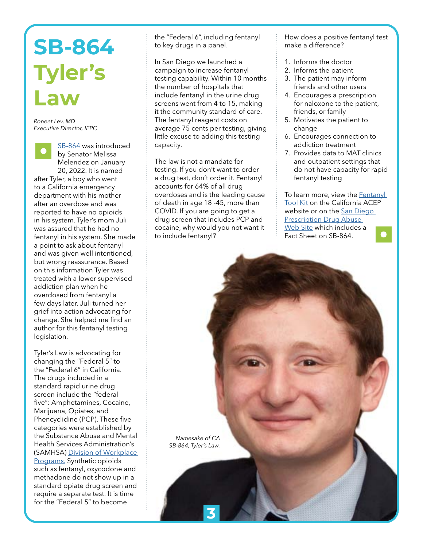# <span id="page-2-0"></span>**SB-864 Tyler's Law**

*Roneet Lev, MD Executive Director, IEPC*

[SB-864](https://leginfo.legislature.ca.gov/faces/billVersionsCompareClient.xhtml?bill_id=202120220SB864) was introduced by Senator Melissa Melendez on January 20, 2022. It is named after Tyler, a boy who went to a California emergency department with his mother after an overdose and was reported to have no opioids in his system. Tyler's mom Juli was assured that he had no fentanyl in his system. She made a point to ask about fentanyl and was given well intentioned, but wrong reassurance. Based on this information Tyler was treated with a lower supervised addiction plan when he overdosed from fentanyl a few days later. Juli turned her grief into action advocating for change. She helped me find an author for this fentanyl testing legislation.

Tyler's Law is advocating for changing the "Federal 5" to the "Federal 6" in California. The drugs included in a standard rapid urine drug screen include the "federal five": Amphetamines, Cocaine, Marijuana, Opiates, and Phencyclidine (PCP). These five categories were established by the Substance Abuse and Mental Health Services Administration's (SAMHSA) [Division of Workplace](https://www.samhsa.gov/workplace)  [Programs.](https://www.samhsa.gov/workplace) Synthetic opioids such as fentanyl, oxycodone and methadone do not show up in a standard opiate drug screen and require a separate test. It is time for the "Federal 5" to become

the "Federal 6", including fentanyl to key drugs in a panel.

In San Diego we launched a campaign to increase fentanyl testing capability. Within 10 months the number of hospitals that include fentanyl in the urine drug screens went from 4 to 15, making it the community standard of care. The fentanyl reagent costs on average 75 cents per testing, giving little excuse to adding this testing capacity.

The law is not a mandate for testing. If you don't want to order a drug test, don't order it. Fentanyl accounts for 64% of all drug overdoses and is the leading cause of death in age 18 -45, more than COVID. If you are going to get a drug screen that includes PCP and cocaine, why would you not want it to include fentanyl?

How does a positive fentanyl test make a difference?

- 1. Informs the doctor
- 2. Informs the patient
- 3. The patient may inform friends and other users
- 4. Encourages a prescription for naloxone to the patient, friends, or family
- 5. Motivates the patient to change
- 6. Encourages connection to addiction treatment
- 7. Provides data to MAT clinics and outpatient settings that do not have capacity for rapid fentanyl testing

To learn more, view the [Fentanyl](https://californiaacep.org/page/fentanyltest)  [Tool Kit](https://californiaacep.org/page/fentanyltest) on the California ACEP website or on the [San Diego](https://www.sandiegorxabusetaskforce.org/)  [Prescription Drug Abuse](https://www.sandiegorxabusetaskforce.org/)  [Web Site](https://www.sandiegorxabusetaskforce.org/) which includes a Fact Sheet on SB-864.

*Namesake of CA SB-864, Tyler's Law.*

**3**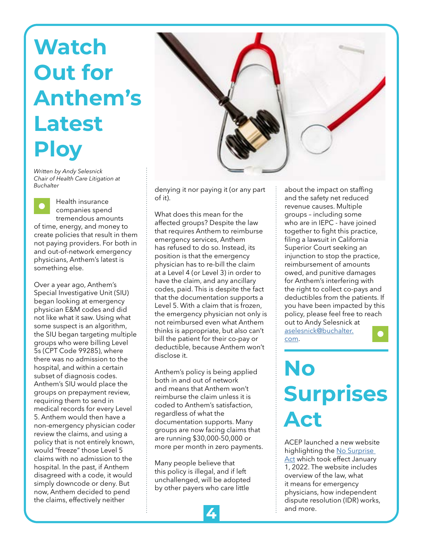# <span id="page-3-0"></span>**Watch Out for Anthem's Latest Ploy**

*Written by Andy Selesnick Chair of Health Care Litigation at Buchalter*

Health insurance companies spend tremendous amounts of time, energy, and money to create policies that result in them not paying providers. For both in and out-of-network emergency physicians, Anthem's latest is something else.

Over a year ago, Anthem's Special Investigative Unit (SIU) began looking at emergency physician E&M codes and did not like what it saw. Using what some suspect is an algorithm, the SIU began targeting multiple groups who were billing Level 5s (CPT Code 99285), where there was no admission to the hospital, and within a certain subset of diagnosis codes. Anthem's SIU would place the groups on prepayment review, requiring them to send in medical records for every Level 5. Anthem would then have a non-emergency physician coder review the claims, and using a policy that is not entirely known, would "freeze" those Level 5 claims with no admission to the hospital. In the past, if Anthem disagreed with a code, it would simply downcode or deny. But now, Anthem decided to pend the claims, effectively neither



denying it nor paying it (or any part of it).

What does this mean for the affected groups? Despite the law that requires Anthem to reimburse emergency services, Anthem has refused to do so. Instead, its position is that the emergency physician has to re-bill the claim at a Level 4 (or Level 3) in order to have the claim, and any ancillary codes, paid. This is despite the fact that the documentation supports a Level 5. With a claim that is frozen, the emergency physician not only is not reimbursed even what Anthem thinks is appropriate, but also can't bill the patient for their co-pay or deductible, because Anthem won't disclose it.

Anthem's policy is being applied both in and out of network and means that Anthem won't reimburse the claim unless it is coded to Anthem's satisfaction, regardless of what the documentation supports. Many groups are now facing claims that are running \$30,000-50,000 or more per month in zero payments.

Many people believe that this policy is illegal, and if left unchallenged, will be adopted by other payers who care little

about the impact on staffing and the safety net reduced revenue causes. Multiple groups – including some who are in IEPC - have joined together to fight this practice, filing a lawsuit in California Superior Court seeking an injunction to stop the practice, reimbursement of amounts owed, and punitive damages for Anthem's interfering with the right to collect co-pays and deductibles from the patients. If you have been impacted by this policy, please feel free to reach out to Andy Selesnick at [aselesnick@buchalter.](mailto:aselesnick@buchalter.com) [com.](mailto:aselesnick@buchalter.com)

**No Surprises Act**

ACEP launched a new website highlighting the [No Surprise](https://www.acep.org/federal-advocacy/no-surprises-act-overview/)  [Act](https://www.acep.org/federal-advocacy/no-surprises-act-overview/) which took effect January 1, 2022. The website includes overview of the law, what it means for emergency physicians, how independent dispute resolution (IDR) works, and more.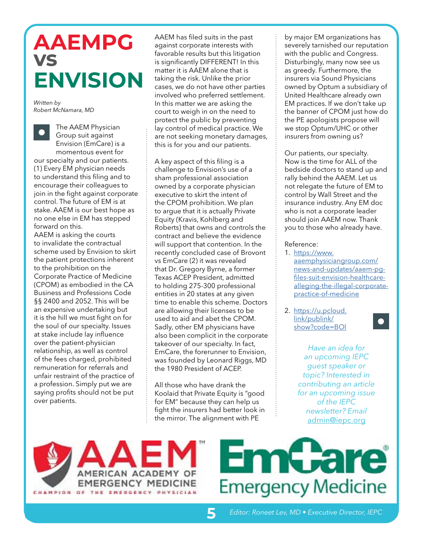# <span id="page-4-0"></span>**AAEMPG vs ENVISION**

*Written by Robert McNamara, MD*

The AAEM Physician Group suit against Envision (EmCare) is a momentous event for our specialty and our patients. (1) Every EM physician needs to understand this filing and to encourage their colleagues to join in the fight against corporate control. The future of EM is at stake. AAEM is our best hope as no one else in EM has stepped forward on this.

AAEM is asking the courts to invalidate the contractual scheme used by Envision to skirt the patient protections inherent to the prohibition on the Corporate Practice of Medicine (CPOM) as embodied in the CA Business and Professions Code §§ 2400 and 2052. This will be an expensive undertaking but it is the hill we must fight on for the soul of our specialty. Issues at stake include lay influence over the patient-physician relationship, as well as control of the fees charged, prohibited remuneration for referrals and unfair restraint of the practice of a profession. Simply put we are saying profits should not be put over patients.

AAEM has filed suits in the past against corporate interests with favorable results but this litigation is significantly DIFFERENT! In this matter it is AAEM alone that is taking the risk. Unlike the prior cases, we do not have other parties involved who preferred settlement. In this matter we are asking the court to weigh in on the need to protect the public by preventing lay control of medical practice. We are not seeking monetary damages, this is for you and our patients.

A key aspect of this filing is a challenge to Envision's use of a sham professional association owned by a corporate physician executive to skirt the intent of the CPOM prohibition. We plan to argue that it is actually Private Equity (Kravis, Kohlberg and Roberts) that owns and controls the contract and believe the evidence will support that contention. In the recently concluded case of Brovont vs EmCare (2) it was revealed that Dr. Gregory Byrne, a former Texas ACEP President, admitted to holding 275-300 professional entities in 20 states at any given time to enable this scheme. Doctors are allowing their licenses to be used to aid and abet the CPOM. Sadly, other EM physicians have also been complicit in the corporate takeover of our specialty. In fact, EmCare, the forerunner to Envision, was founded by Leonard Riggs, MD the 1980 President of ACEP.

All those who have drank the Koolaid that Private Equity is "good for EM" because they can help us fight the insurers had better look in the mirror. The alignment with PE

by major EM organizations has severely tarnished our reputation with the public and Congress. Disturbingly, many now see us as greedy. Furthermore, the insurers via Sound Physicians owned by Optum a subsidiary of United Healthcare already own EM practices. If we don't take up the banner of CPOM just how do the PE apologists propose will we stop Optum/UHC or other insurers from owning us?

Our patients, our specialty. Now is the time for ALL of the bedside doctors to stand up and rally behind the AAEM. Let us not relegate the future of EM to control by Wall Street and the insurance industry. Any EM doc who is not a corporate leader should join AAEM now. Thank you to those who already have.

#### Reference:

- 1. [https://www.](https://www.aaemphysiciangroup.com/news-and-updates/aaem-pg-files-suit-envision-healthcare-alleging-the-illegal-corporate-practice-of-medicine) [aaemphysiciangroup.com/](https://www.aaemphysiciangroup.com/news-and-updates/aaem-pg-files-suit-envision-healthcare-alleging-the-illegal-corporate-practice-of-medicine) [news-and-updates/aaem-pg](https://www.aaemphysiciangroup.com/news-and-updates/aaem-pg-files-suit-envision-healthcare-alleging-the-illegal-corporate-practice-of-medicine)[files-suit-envision-healthcare](https://www.aaemphysiciangroup.com/news-and-updates/aaem-pg-files-suit-envision-healthcare-alleging-the-illegal-corporate-practice-of-medicine)[alleging-the-illegal-corporate](https://www.aaemphysiciangroup.com/news-and-updates/aaem-pg-files-suit-envision-healthcare-alleging-the-illegal-corporate-practice-of-medicine)[practice-of-medicine](https://www.aaemphysiciangroup.com/news-and-updates/aaem-pg-files-suit-envision-healthcare-alleging-the-illegal-corporate-practice-of-medicine)
- 2. [https://u.pcloud.](https://u.pcloud.link/publink/show?code=BOl) [link/publink/](https://u.pcloud.link/publink/show?code=BOl) [show?code=BOl](https://u.pcloud.link/publink/show?code=BOl)

 $\bullet$ 

*Have an idea for an upcoming IEPC guest speaker or topic? Interested in contributing an article for an upcoming issue of the IEPC newsletter? Email*  [admin@iepc.org](mailto:admin%40iepc.org?subject=)